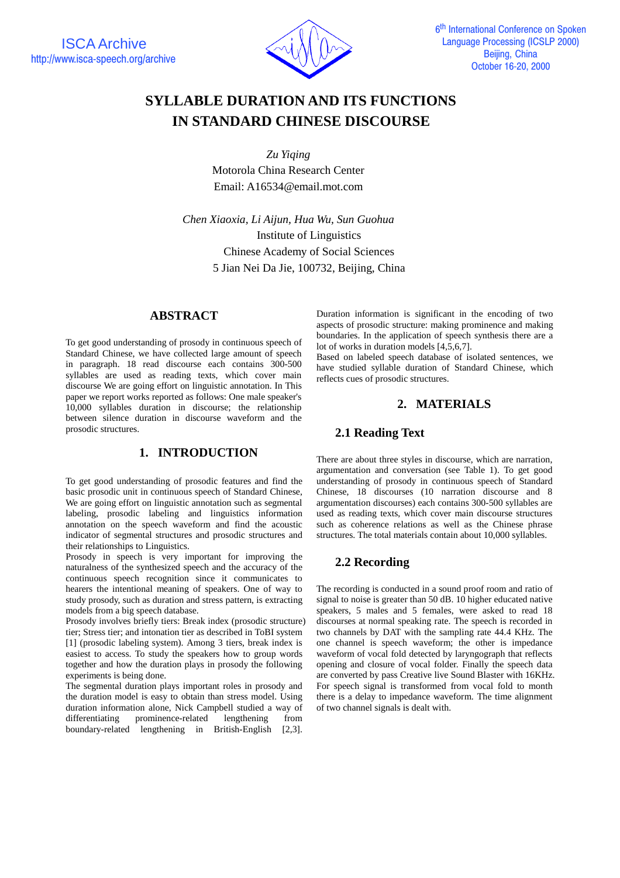

# **SYLLABLE DURATION AND ITS FUNCTIONS IN STANDARD CHINESE DISCOURSE**

*Zu Yiqing* Motorola China Research Center Email: A16534@email.mot.com

*Chen Xiaoxia, Li Aijun, Hua Wu, Sun Guohua* Institute of Linguistics Chinese Academy of Social Sciences 5 Jian Nei Da Jie, 100732, Beijing, China

## **ABSTRACT**

To get good understanding of prosody in continuous speech of Standard Chinese, we have collected large amount of speech in paragraph. 18 read discourse each contains 300-500 syllables are used as reading texts, which cover main discourse We are going effort on linguistic annotation. In This paper we report works reported as follows: One male speaker's 10,000 syllables duration in discourse; the relationship between silence duration in discourse waveform and the prosodic structures.

## **1. INTRODUCTION**

To get good understanding of prosodic features and find the basic prosodic unit in continuous speech of Standard Chinese, We are going effort on linguistic annotation such as segmental labeling, prosodic labeling and linguistics information annotation on the speech waveform and find the acoustic indicator of segmental structures and prosodic structures and their relationships to Linguistics.

Prosody in speech is very important for improving the naturalness of the synthesized speech and the accuracy of the continuous speech recognition since it communicates to hearers the intentional meaning of speakers. One of way to study prosody, such as duration and stress pattern, is extracting models from a big speech database.

Prosody involves briefly tiers: Break index (prosodic structure) tier; Stress tier; and intonation tier as described in ToBI system [1] (prosodic labeling system). Among 3 tiers, break index is easiest to access. To study the speakers how to group words together and how the duration plays in prosody the following experiments is being done.

The segmental duration plays important roles in prosody and the duration model is easy to obtain than stress model. Using duration information alone, Nick Campbell studied a way of differentiating prominence-related lengthening from boundary-related lengthening in British-English [2,3]. Duration information is significant in the encoding of two aspects of prosodic structure: making prominence and making boundaries. In the application of speech synthesis there are a lot of works in duration models [4,5,6,7].

Based on labeled speech database of isolated sentences, we have studied syllable duration of Standard Chinese, which reflects cues of prosodic structures.

## **2. MATERIALS**

## **2.1 Reading Text**

There are about three styles in discourse, which are narration, argumentation and conversation (see Table 1). To get good understanding of prosody in continuous speech of Standard Chinese, 18 discourses (10 narration discourse and 8 argumentation discourses) each contains 300-500 syllables are used as reading texts, which cover main discourse structures such as coherence relations as well as the Chinese phrase structures. The total materials contain about 10,000 syllables.

## **2.2 Recording**

The recording is conducted in a sound proof room and ratio of signal to noise is greater than 50 dB. 10 higher educated native speakers, 5 males and 5 females, were asked to read 18 discourses at normal speaking rate. The speech is recorded in two channels by DAT with the sampling rate 44.4 KHz. The one channel is speech waveform; the other is impedance waveform of vocal fold detected by laryngograph that reflects opening and closure of vocal folder. Finally the speech data are converted by pass Creative live Sound Blaster with 16KHz. For speech signal is transformed from vocal fold to month there is a delay to impedance waveform. The time alignment of two channel signals is dealt with.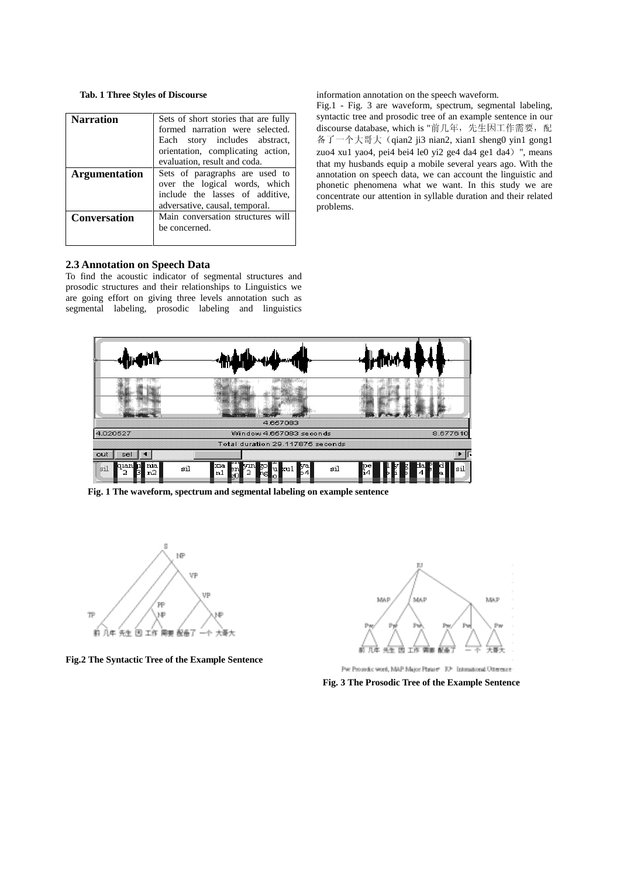#### **Tab. 1 Three Styles of Discourse**

| Narration            | Sets of short stories that are fully<br>formed narration were selected.<br>Each story includes abstract,<br>orientation, complicating action,                        |  |  |  |  |  |
|----------------------|----------------------------------------------------------------------------------------------------------------------------------------------------------------------|--|--|--|--|--|
| <b>Argumentation</b> | evaluation, result and coda.<br>Sets of paragraphs are used to<br>over the logical words, which<br>include the lasses of additive,<br>adversative, causal, temporal. |  |  |  |  |  |
| <b>Conversation</b>  | Main conversation structures will<br>be concerned.                                                                                                                   |  |  |  |  |  |

information annotation on the speech waveform.

Fig.1 - Fig. 3 are waveform, spectrum, segmental labeling, syntactic tree and prosodic tree of an example sentence in our discourse database, which is "前几年, 先生因工作需要, 配  $\frac{a}{4}$   $\frac{a}{4}$   $\frac{a}{4}$   $\frac{a}{4}$   $\frac{a}{4}$   $\frac{a}{4}$   $\frac{a}{4}$   $\frac{a}{4}$   $\frac{a}{4}$   $\frac{a}{4}$   $\frac{a}{4}$   $\frac{a}{4}$   $\frac{a}{4}$  sheng0 yin1 gong1 zuo4 xu1 yao4, pei4 bei4 le0 yi2 ge4 da4 ge1 da4) ", means that my husbands equip a mobile several years ago. With the annotation on speech data, we can account the linguistic and phonetic phenomena what we want. In this study we are concentrate our attention in syllable duration and their related problems.

#### **2.3 Annotation on Speech Data**

To find the acoustic indicator of segmental structures and prosodic structures and their relationships to Linguistics we are going effort on giving three levels annotation such as segmental labeling, prosodic labeling and linguistics



**Fig. 1 The waveform, spectrum and segmental labeling on example sentence**



**Fig.2 The Syntactic Tree of the Example Sentence**



Pw: Prosedic word, MAP: Major Phrase® IU® Intensional Utteresse

**Fig. 3 The Prosodic Tree of the Example Sentence**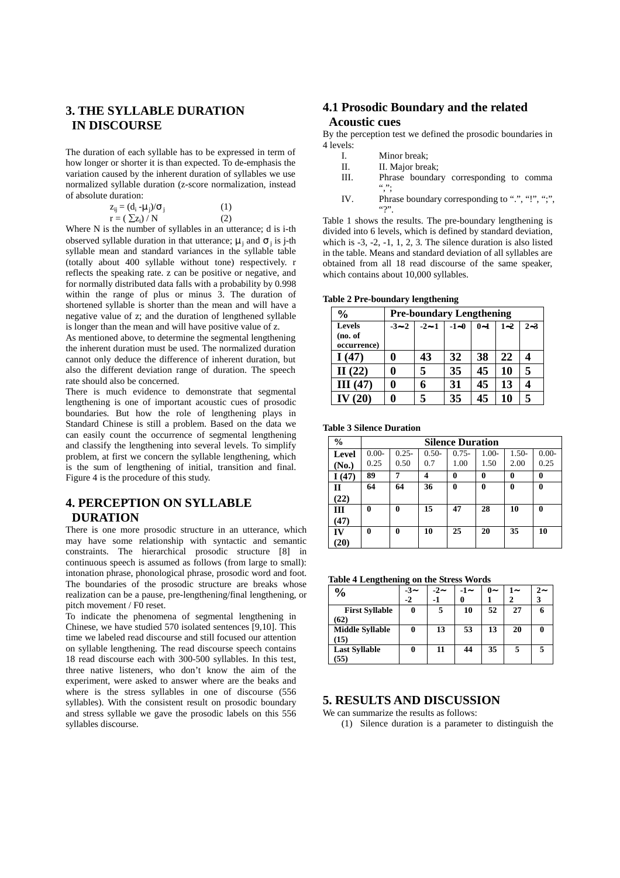## **3. THE SYLLABLE DURATION IN DISCOURSE**

The duration of each syllable has to be expressed in term of how longer or shorter it is than expected. To de-emphasis the variation caused by the inherent duration of syllables we use normalized syllable duration (z-score normalization, instead of absolute duration:

$$
z_{ij} = (d_i - \mu_j)/\sigma_j
$$
  
\n
$$
r = (\sum z_i) / N
$$
 (1)

Where N is the number of syllables in an utterance; d is i-th observed syllable duration in that utterance;  $\mu_i$  and  $\sigma_i$  is j-th syllable mean and standard variances in the syllable table (totally about 400 syllable without tone) respectively. r reflects the speaking rate. z can be positive or negative, and for normally distributed data falls with a probability by 0.998 within the range of plus or minus 3. The duration of shortened syllable is shorter than the mean and will have a negative value of z; and the duration of lengthened syllable is longer than the mean and will have positive value of z.

As mentioned above, to determine the segmental lengthening the inherent duration must be used. The normalized duration cannot only deduce the difference of inherent duration, but also the different deviation range of duration. The speech rate should also be concerned.

There is much evidence to demonstrate that segmental lengthening is one of important acoustic cues of prosodic boundaries. But how the role of lengthening plays in Standard Chinese is still a problem. Based on the data we can easily count the occurrence of segmental lengthening and classify the lengthening into several levels. To simplify problem, at first we concern the syllable lengthening, which is the sum of lengthening of initial, transition and final. Figure 4 is the procedure of this study.

## **4. PERCEPTION ON SYLLABLE DURATION**

There is one more prosodic structure in an utterance, which may have some relationship with syntactic and semantic constraints. The hierarchical prosodic structure [8] in continuous speech is assumed as follows (from large to small): intonation phrase, phonological phrase, prosodic word and foot. The boundaries of the prosodic structure are breaks whose realization can be a pause, pre-lengthening/final lengthening, or pitch movement / F0 reset.

To indicate the phenomena of segmental lengthening in Chinese, we have studied 570 isolated sentences [9,10]. This time we labeled read discourse and still focused our attention on syllable lengthening. The read discourse speech contains 18 read discourse each with 300-500 syllables. In this test, three native listeners, who don't know the aim of the experiment, were asked to answer where are the beaks and where is the stress syllables in one of discourse (556 syllables). With the consistent result on prosodic boundary and stress syllable we gave the prosodic labels on this 556 syllables discourse.

## **4.1 Prosodic Boundary and the related Acoustic cues**

By the perception test we defined the prosodic boundaries in  $\frac{4 \text{ levels}}{1}$ 

- Minor break:
- II. II. Major break;<br>III. Phrase boundar
- Phrase boundary corresponding to comma  $\cdots$ ;
- IV. Phrase boundary corresponding to ".", "!", ";",  $\cdots$

Table 1 shows the results. The pre-boundary lengthening is divided into 6 levels, which is defined by standard deviation, which is -3, -2, -1, 1, 2, 3. The silence duration is also listed in the table. Means and standard deviation of all syllables are obtained from all 18 read discourse of the same speaker, which contains about 10,000 syllables.

|  |  |  | Table 2 Pre-boundary lengthening |
|--|--|--|----------------------------------|
|--|--|--|----------------------------------|

| $\%$                             | <b>Pre-boundary Lengthening</b> |        |        |         |         |         |  |
|----------------------------------|---------------------------------|--------|--------|---------|---------|---------|--|
| Levels<br>(no. of<br>occurrence) | $-3 - 2$                        | $-2-1$ | $-1-0$ | $0 - 1$ | $1 - 2$ | $2 - 3$ |  |
| I(47)                            | 0                               | 43     | 32     | 38      | 22      |         |  |
| II $(22)$                        | 0                               | 5      | 35     | 45      | 10      | 5       |  |
| III(47)                          |                                 |        | 31     | 45      | 13      |         |  |
| IV $(20)$                        |                                 | 5      | 35     | 45      | 10      | 5       |  |

**Table 3 Silence Duration**

| $\frac{0}{0}$ | <b>Silence Duration</b> |          |         |              |         |              |          |
|---------------|-------------------------|----------|---------|--------------|---------|--------------|----------|
| Level         | $0.00 -$                | $0.25 -$ | $0.50-$ | $0.75 -$     | $1.00-$ | $1.50-$      | $0.00 -$ |
| (No.)         | 0.25                    | 0.50     | 0.7     | 1.00         | 1.50    | 2.00         | 0.25     |
| I(47)         | 89                      | 7        | 4       | 0            | 0       | $\mathbf{0}$ | 0        |
| $\mathbf{I}$  | 64                      | 64       | 36      | $\mathbf{0}$ | 0       | $\mathbf{0}$ | 0        |
| (22)          |                         |          |         |              |         |              |          |
| Ш             | 0                       | 0        | 15      | 47           | 28      | 10           | $\bf{0}$ |
| (47)          |                         |          |         |              |         |              |          |
| IV            | 0                       | 0        | 10      | 25           | 20      | 35           | 10       |
| (20)          |                         |          |         |              |         |              |          |

**Table 4 Lengthening on the Stress Words**

| $\frac{6}{9}$                  | $-3-$<br>$-2$ | $-2-$<br>-1 | $-1-$<br>0 | $0-$ | 1. | 2.-<br>3 |
|--------------------------------|---------------|-------------|------------|------|----|----------|
| <b>First Syllable</b><br>(62)  | 0             |             | 10         | 52   | 27 |          |
| <b>Middle Syllable</b><br>(15) | 0             | 13          | 53         | 13   | 20 | 0        |
| <b>Last Syllable</b><br>(55)   | 0             | 11          | 44         | 35   |    |          |

#### **5. RESULTS AND DISCUSSION**

We can summarize the results as follows:

(1) Silence duration is a parameter to distinguish the